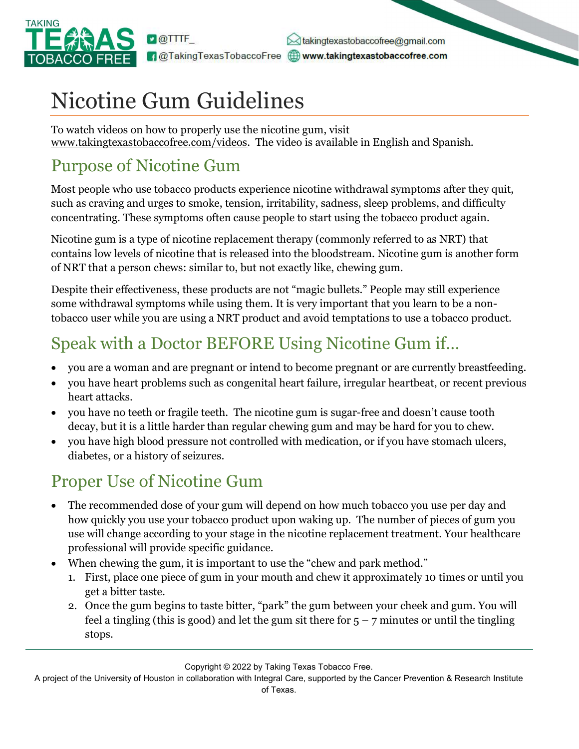

dakingtexastobaccofree@gmail.com **1** @TakingTexasTobaccoFree **Communist Communist Communist Communist Communist Communist Communist Communist Communist Communist Communist Communist Communist Communist Communist Communist Communist Communist Communist Com** 

# Nicotine Gum Guidelines

To watch videos on how to properly use the nicotine gum, visit www.takingtexastobaccofree.com/videos. The video is available in English and Spanish.

### Purpose of Nicotine Gum

Most people who use tobacco products experience nicotine withdrawal symptoms after they quit, such as craving and urges to smoke, tension, irritability, sadness, sleep problems, and difficulty concentrating. These symptoms often cause people to start using the tobacco product again.

Nicotine gum is a type of nicotine replacement therapy (commonly referred to as NRT) that contains low levels of nicotine that is released into the bloodstream. Nicotine gum is another form of NRT that a person chews: similar to, but not exactly like, chewing gum.

Despite their effectiveness, these products are not "magic bullets." People may still experience some withdrawal symptoms while using them. It is very important that you learn to be a nontobacco user while you are using a NRT product and avoid temptations to use a tobacco product.

## Speak with a Doctor BEFORE Using Nicotine Gum if…

- you are a woman and are pregnant or intend to become pregnant or are currently breastfeeding.
- you have heart problems such as congenital heart failure, irregular heartbeat, or recent previous heart attacks.
- you have no teeth or fragile teeth. The nicotine gum is sugar-free and doesn't cause tooth decay, but it is a little harder than regular chewing gum and may be hard for you to chew.
- you have high blood pressure not controlled with medication, or if you have stomach ulcers, diabetes, or a history of seizures.

### Proper Use of Nicotine Gum

- The recommended dose of your gum will depend on how much tobacco you use per day and how quickly you use your tobacco product upon waking up. The number of pieces of gum you use will change according to your stage in the nicotine replacement treatment. Your healthcare professional will provide specific guidance.
- When chewing the gum, it is important to use the "chew and park method."
	- 1. First, place one piece of gum in your mouth and chew it approximately 10 times or until you get a bitter taste.
	- 2. Once the gum begins to taste bitter, "park" the gum between your cheek and gum. You will feel a tingling (this is good) and let the gum sit there for  $5 - 7$  minutes or until the tingling stops.

Copyright © 2022 by Taking Texas Tobacco Free.

A project of the University of Houston in collaboration with Integral Care, supported by the Cancer Prevention & Research Institute of Texas.